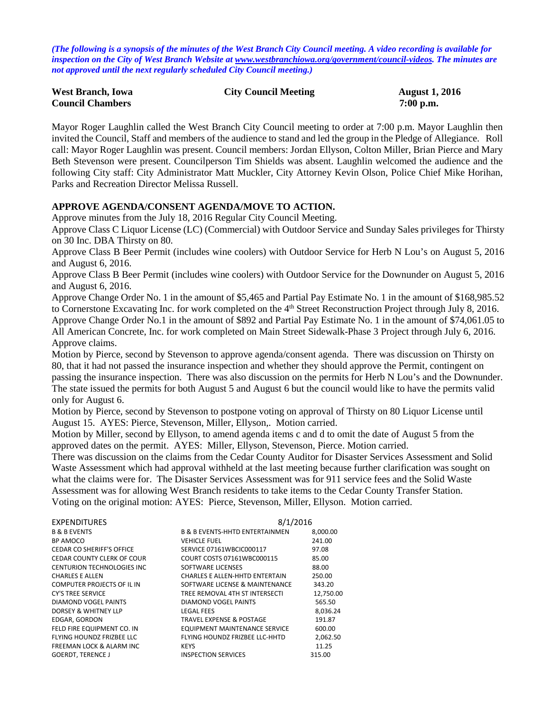*(The following is a synopsis of the minutes of the West Branch City Council meeting. A video recording is available for inspection on the City of West Branch Website at [www.westbranchiowa.org/government/council-videos.](http://www.westbranchiowa.org/government/council-videos) The minutes are not approved until the next regularly scheduled City Council meeting.)*

| <b>West Branch, Iowa</b> | <b>City Council Meeting</b> | <b>August 1, 2016</b> |
|--------------------------|-----------------------------|-----------------------|
| <b>Council Chambers</b>  |                             | $7:00$ p.m.           |

Mayor Roger Laughlin called the West Branch City Council meeting to order at 7:00 p.m. Mayor Laughlin then invited the Council, Staff and members of the audience to stand and led the group in the Pledge of Allegiance. Roll call: Mayor Roger Laughlin was present. Council members: Jordan Ellyson, Colton Miller, Brian Pierce and Mary Beth Stevenson were present. Councilperson Tim Shields was absent. Laughlin welcomed the audience and the following City staff: City Administrator Matt Muckler, City Attorney Kevin Olson, Police Chief Mike Horihan, Parks and Recreation Director Melissa Russell.

### **APPROVE AGENDA/CONSENT AGENDA/MOVE TO ACTION.**

Approve minutes from the July 18, 2016 Regular City Council Meeting.

Approve Class C Liquor License (LC) (Commercial) with Outdoor Service and Sunday Sales privileges for Thirsty on 30 Inc. DBA Thirsty on 80.

Approve Class B Beer Permit (includes wine coolers) with Outdoor Service for Herb N Lou's on August 5, 2016 and August 6, 2016.

Approve Class B Beer Permit (includes wine coolers) with Outdoor Service for the Downunder on August 5, 2016 and August 6, 2016.

Approve Change Order No. 1 in the amount of \$5,465 and Partial Pay Estimate No. 1 in the amount of \$168,985.52 to Cornerstone Excavating Inc. for work completed on the 4<sup>th</sup> Street Reconstruction Project through July 8, 2016. Approve Change Order No.1 in the amount of \$892 and Partial Pay Estimate No. 1 in the amount of \$74,061.05 to All American Concrete, Inc. for work completed on Main Street Sidewalk-Phase 3 Project through July 6, 2016. Approve claims.

Motion by Pierce, second by Stevenson to approve agenda/consent agenda. There was discussion on Thirsty on 80, that it had not passed the insurance inspection and whether they should approve the Permit, contingent on passing the insurance inspection. There was also discussion on the permits for Herb N Lou's and the Downunder. The state issued the permits for both August 5 and August 6 but the council would like to have the permits valid only for August 6.

Motion by Pierce, second by Stevenson to postpone voting on approval of Thirsty on 80 Liquor License until August 15. AYES: Pierce, Stevenson, Miller, Ellyson,. Motion carried.

Motion by Miller, second by Ellyson, to amend agenda items c and d to omit the date of August 5 from the approved dates on the permit. AYES: Miller, Ellyson, Stevenson, Pierce. Motion carried.

There was discussion on the claims from the Cedar County Auditor for Disaster Services Assessment and Solid Waste Assessment which had approval withheld at the last meeting because further clarification was sought on what the claims were for. The Disaster Services Assessment was for 911 service fees and the Solid Waste Assessment was for allowing West Branch residents to take items to the Cedar County Transfer Station. Voting on the original motion: AYES: Pierce, Stevenson, Miller, Ellyson. Motion carried.

| <b>EXPENDITURES</b>                | 8/1/2016                                  |           |
|------------------------------------|-------------------------------------------|-----------|
| <b>B &amp; B EVENTS</b>            | <b>B &amp; B EVENTS-HHTD ENTERTAINMEN</b> | 8,000.00  |
| BP AMOCO                           | <b>VEHICLE FUEL</b>                       | 241.00    |
| CEDAR CO SHERIFF'S OFFICE          | SERVICE 07161WBCIC000117                  | 97.08     |
| CEDAR COUNTY CLERK OF COUR         | COURT COSTS 07161WBC000115                | 85.00     |
| <b>CENTURION TECHNOLOGIES INC.</b> | SOFTWARE LICENSES                         | 88.00     |
| <b>CHARLES E ALLEN</b>             | <b>CHARLES E ALLEN-HHTD ENTERTAIN</b>     | 250.00    |
| COMPUTER PROJECTS OF IL IN         | SOFTWARE LICENSE & MAINTENANCE            | 343.20    |
| <b>CY'S TREE SERVICE</b>           | TREE REMOVAL 4TH ST INTERSECTI            | 12,750.00 |
| DIAMOND VOGEL PAINTS               | DIAMOND VOGEL PAINTS                      | 565.50    |
| DORSEY & WHITNEY LLP               | <b>LEGAL FEES</b>                         | 8.036.24  |
| EDGAR, GORDON                      | <b>TRAVEL EXPENSE &amp; POSTAGE</b>       | 191.87    |
| FELD FIRE EQUIPMENT CO. IN         | <b>EQUIPMENT MAINTENANCE SERVICE</b>      | 600.00    |
| FLYING HOUNDZ FRIZBEE LLC          | FLYING HOUNDZ FRIZBEE LLC-HHTD            | 2,062.50  |
| FREEMAN LOCK & ALARM INC           | <b>KEYS</b>                               | 11.25     |
| <b>GOERDT. TERENCE J</b>           | <b>INSPECTION SERVICES</b>                | 315.00    |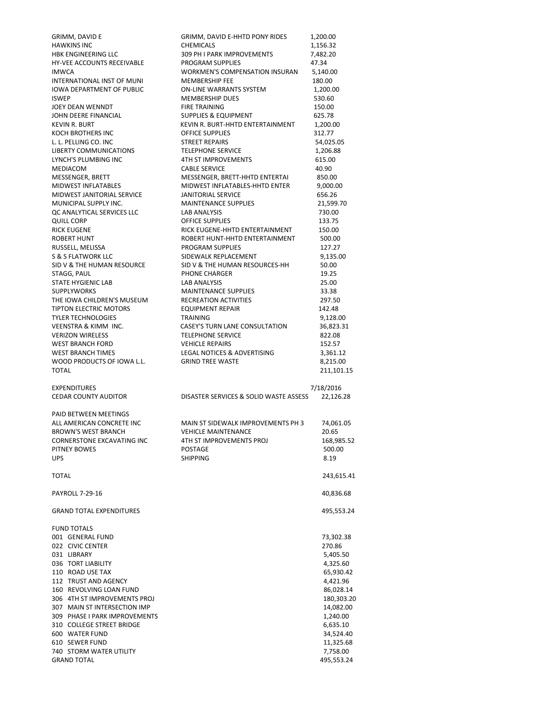| <b>HAWKINS INC</b>                                     | GRIMM, DAVID E-HHTD PONY RIDES                         | 1,200.00               |
|--------------------------------------------------------|--------------------------------------------------------|------------------------|
|                                                        | <b>CHEMICALS</b>                                       | 1,156.32               |
| HBK ENGINEERING LLC                                    | 309 PH I PARK IMPROVEMENTS                             | 7,482.20               |
| HY-VEE ACCOUNTS RECEIVABLE                             | PROGRAM SUPPLIES                                       | 47.34                  |
| <b>IMWCA</b>                                           | <b>WORKMEN'S COMPENSATION INSURAN</b>                  | 5,140.00               |
| INTERNATIONAL INST OF MUNI                             | <b>MEMBERSHIP FEE</b>                                  | 180.00                 |
| <b>IOWA DEPARTMENT OF PUBLIC</b>                       | ON-LINE WARRANTS SYSTEM                                | 1,200.00               |
| <b>ISWEP</b>                                           | MEMBERSHIP DUES                                        | 530.60                 |
| JOEY DEAN WENNDT                                       | <b>FIRE TRAINING</b>                                   | 150.00                 |
| JOHN DEERE FINANCIAL                                   | <b>SUPPLIES &amp; EQUIPMENT</b>                        | 625.78                 |
| <b>KEVIN R. BURT</b>                                   | KEVIN R. BURT-HHTD ENTERTAINMENT                       | 1,200.00               |
| KOCH BROTHERS INC                                      | <b>OFFICE SUPPLIES</b><br><b>STREET REPAIRS</b>        | 312.77                 |
| L. L. PELLING CO. INC<br><b>LIBERTY COMMUNICATIONS</b> | <b>TELEPHONE SERVICE</b>                               | 54,025.05<br>1,206.88  |
| LYNCH'S PLUMBING INC                                   | <b>4TH ST IMPROVEMENTS</b>                             | 615.00                 |
| MEDIACOM                                               | <b>CABLE SERVICE</b>                                   | 40.90                  |
| MESSENGER, BRETT                                       | MESSENGER, BRETT-HHTD ENTERTAI                         | 850.00                 |
| MIDWEST INFLATABLES                                    | MIDWEST INFLATABLES-HHTD ENTER                         | 9,000.00               |
| MIDWEST JANITORIAL SERVICE                             | JANITORIAL SERVICE                                     | 656.26                 |
| MUNICIPAL SUPPLY INC.                                  | <b>MAINTENANCE SUPPLIES</b>                            | 21,599.70              |
| QC ANALYTICAL SERVICES LLC                             | LAB ANALYSIS                                           | 730.00                 |
| QUILL CORP                                             | <b>OFFICE SUPPLIES</b>                                 | 133.75                 |
| <b>RICK EUGENE</b>                                     | RICK EUGENE-HHTD ENTERTAINMENT                         | 150.00                 |
| <b>ROBERT HUNT</b>                                     | ROBERT HUNT-HHTD ENTERTAINMENT                         | 500.00                 |
| RUSSELL, MELISSA                                       | PROGRAM SUPPLIES                                       | 127.27                 |
| S & S FLATWORK LLC                                     | SIDEWALK REPLACEMENT                                   | 9,135.00               |
| SID V & THE HUMAN RESOURCE                             | SID V & THE HUMAN RESOURCES-HH                         | 50.00                  |
| STAGG, PAUL                                            | PHONE CHARGER                                          | 19.25                  |
| STATE HYGIENIC LAB                                     | LAB ANALYSIS                                           | 25.00                  |
| <b>SUPPLYWORKS</b>                                     | <b>MAINTENANCE SUPPLIES</b>                            | 33.38                  |
| THE IOWA CHILDREN'S MUSEUM                             | RECREATION ACTIVITIES                                  | 297.50                 |
| <b>TIPTON ELECTRIC MOTORS</b>                          | <b>EQUIPMENT REPAIR</b>                                | 142.48                 |
| <b>TYLER TECHNOLOGIES</b>                              | <b>TRAINING</b>                                        | 9,128.00               |
| VEENSTRA & KIMM INC.                                   | CASEY'S TURN LANE CONSULTATION                         | 36,823.31              |
| <b>VERIZON WIRELESS</b>                                | <b>TELEPHONE SERVICE</b>                               | 822.08                 |
| <b>WEST BRANCH FORD</b>                                | <b>VEHICLE REPAIRS</b>                                 | 152.57                 |
| <b>WEST BRANCH TIMES</b><br>WOOD PRODUCTS OF IOWA L.L. | LEGAL NOTICES & ADVERTISING<br><b>GRIND TREE WASTE</b> | 3,361.12               |
| <b>TOTAL</b>                                           |                                                        | 8,215.00<br>211,101.15 |
|                                                        |                                                        |                        |
|                                                        |                                                        |                        |
| <b>EXPENDITURES</b>                                    |                                                        |                        |
| <b>CEDAR COUNTY AUDITOR</b>                            | DISASTER SERVICES & SOLID WASTE ASSESS                 | 7/18/2016<br>22,126.28 |
|                                                        |                                                        |                        |
| PAID BETWEEN MEETINGS                                  |                                                        |                        |
| ALL AMERICAN CONCRETE INC                              | MAIN ST SIDEWALK IMPROVEMENTS PH 3                     | 74,061.05              |
| <b>BROWN'S WEST BRANCH</b>                             | <b>VEHICLE MAINTENANCE</b>                             | 20.65                  |
| CORNERSTONE EXCAVATING INC                             | 4TH ST IMPROVEMENTS PROJ                               | 168,985.52             |
| <b>PITNEY BOWES</b>                                    | <b>POSTAGE</b>                                         | 500.00                 |
| <b>UPS</b>                                             | <b>SHIPPING</b>                                        | 8.19                   |
|                                                        |                                                        |                        |
| TOTAL                                                  |                                                        | 243,615.41             |
|                                                        |                                                        |                        |
| <b>PAYROLL 7-29-16</b>                                 |                                                        | 40,836.68              |
|                                                        |                                                        |                        |
| <b>GRAND TOTAL EXPENDITURES</b>                        |                                                        | 495,553.24             |
| <b>FUND TOTALS</b>                                     |                                                        |                        |
| 001 GENERAL FUND                                       |                                                        |                        |
| 022 CIVIC CENTER                                       |                                                        | 73,302.38<br>270.86    |
| 031 LIBRARY                                            |                                                        | 5,405.50               |
| 036 TORT LIABILITY                                     |                                                        | 4,325.60               |
| 110 ROAD USE TAX                                       |                                                        | 65,930.42              |
| 112 TRUST AND AGENCY                                   |                                                        | 4,421.96               |
| 160 REVOLVING LOAN FUND                                |                                                        | 86,028.14              |
| 306 4TH ST IMPROVEMENTS PROJ                           |                                                        | 180,303.20             |
| 307 MAIN ST INTERSECTION IMP                           |                                                        | 14,082.00              |
| 309 PHASE I PARK IMPROVEMENTS                          |                                                        | 1,240.00               |
| 310 COLLEGE STREET BRIDGE                              |                                                        | 6,635.10               |
| 600 WATER FUND                                         |                                                        | 34,524.40              |
| 610 SEWER FUND                                         |                                                        | 11,325.68              |
| 740 STORM WATER UTILITY<br><b>GRAND TOTAL</b>          |                                                        | 7,758.00<br>495,553.24 |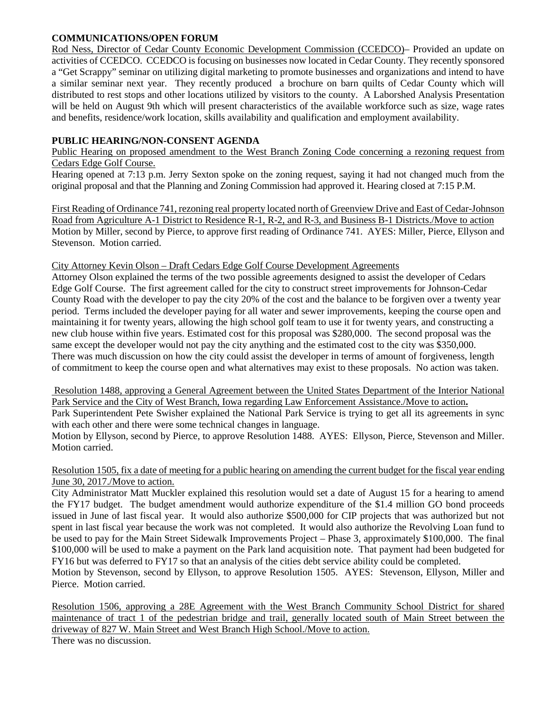## **COMMUNICATIONS/OPEN FORUM**

Rod Ness, Director of Cedar County Economic Development Commission (CCEDCO)– Provided an update on activities of CCEDCO. CCEDCO is focusing on businesses now located in Cedar County. They recently sponsored a "Get Scrappy" seminar on utilizing digital marketing to promote businesses and organizations and intend to have a similar seminar next year. They recently produced a brochure on barn quilts of Cedar County which will distributed to rest stops and other locations utilized by visitors to the county. A Laborshed Analysis Presentation will be held on August 9th which will present characteristics of the available workforce such as size, wage rates and benefits, residence/work location, skills availability and qualification and employment availability.

## **PUBLIC HEARING/NON-CONSENT AGENDA**

Public Hearing on proposed amendment to the West Branch Zoning Code concerning a rezoning request from Cedars Edge Golf Course.

Hearing opened at 7:13 p.m. Jerry Sexton spoke on the zoning request, saying it had not changed much from the original proposal and that the Planning and Zoning Commission had approved it. Hearing closed at 7:15 P.M.

First Reading of Ordinance 741, rezoning real property located north of Greenview Drive and East of Cedar-Johnson Road from Agriculture A-1 District to Residence R-1, R-2, and R-3, and Business B-1 Districts./Move to action Motion by Miller, second by Pierce, to approve first reading of Ordinance 741. AYES: Miller, Pierce, Ellyson and Stevenson. Motion carried.

### City Attorney Kevin Olson – Draft Cedars Edge Golf Course Development Agreements

Attorney Olson explained the terms of the two possible agreements designed to assist the developer of Cedars Edge Golf Course. The first agreement called for the city to construct street improvements for Johnson-Cedar County Road with the developer to pay the city 20% of the cost and the balance to be forgiven over a twenty year period. Terms included the developer paying for all water and sewer improvements, keeping the course open and maintaining it for twenty years, allowing the high school golf team to use it for twenty years, and constructing a new club house within five years. Estimated cost for this proposal was \$280,000. The second proposal was the same except the developer would not pay the city anything and the estimated cost to the city was \$350,000. There was much discussion on how the city could assist the developer in terms of amount of forgiveness, length of commitment to keep the course open and what alternatives may exist to these proposals. No action was taken.

Resolution 1488, approving a General Agreement between the United States Department of the Interior National Park Service and the City of West Branch, Iowa regarding Law Enforcement Assistance./Move to action**.** Park Superintendent Pete Swisher explained the National Park Service is trying to get all its agreements in sync with each other and there were some technical changes in language.

Motion by Ellyson, second by Pierce, to approve Resolution 1488. AYES: Ellyson, Pierce, Stevenson and Miller. Motion carried.

## Resolution 1505, fix a date of meeting for a public hearing on amending the current budget for the fiscal year ending June 30, 2017./Move to action.

City Administrator Matt Muckler explained this resolution would set a date of August 15 for a hearing to amend the FY17 budget. The budget amendment would authorize expenditure of the \$1.4 million GO bond proceeds issued in June of last fiscal year. It would also authorize \$500,000 for CIP projects that was authorized but not spent in last fiscal year because the work was not completed. It would also authorize the Revolving Loan fund to be used to pay for the Main Street Sidewalk Improvements Project – Phase 3, approximately \$100,000. The final \$100,000 will be used to make a payment on the Park land acquisition note. That payment had been budgeted for FY16 but was deferred to FY17 so that an analysis of the cities debt service ability could be completed.

Motion by Stevenson, second by Ellyson, to approve Resolution 1505. AYES: Stevenson, Ellyson, Miller and Pierce. Motion carried.

Resolution 1506, approving a 28E Agreement with the West Branch Community School District for shared maintenance of tract 1 of the pedestrian bridge and trail, generally located south of Main Street between the driveway of 827 W. Main Street and West Branch High School./Move to action.

There was no discussion.